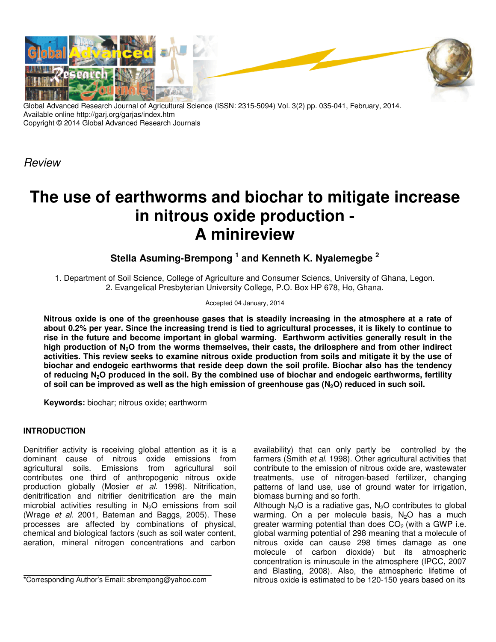

Global Advanced Research Journal of Agricultural Science (ISSN: 2315-5094) Vol. 3(2) pp. 035-041, February, 2014. Available online http://garj.org/garjas/index.htm Copyright © 2014 Global Advanced Research Journals

*Review*

# **The use of earthworms and biochar to mitigate increase in nitrous oxide production - A minireview**

**Stella Asuming-Brempong <sup>1</sup> and Kenneth K. Nyalemegbe <sup>2</sup>**

1. Department of Soil Science, College of Agriculture and Consumer Sciencs, University of Ghana, Legon. 2. Evangelical Presbyterian University College, P.O. Box HP 678, Ho, Ghana.

### Accepted 04 January, 2014

**Nitrous oxide is one of the greenhouse gases that is steadily increasing in the atmosphere at a rate of about 0.2% per year. Since the increasing trend is tied to agricultural processes, it is likely to continue to rise in the future and become important in global warming. Earthworm activities generally result in the high production of N2O from the worms themselves, their casts, the drilosphere and from other indirect activities. This review seeks to examine nitrous oxide production from soils and mitigate it by the use of biochar and endogeic earthworms that reside deep down the soil profile. Biochar also has the tendency of reducing N2O produced in the soil. By the combined use of biochar and endogeic earthworms, fertility of soil can be improved as well as the high emission of greenhouse gas (N2O) reduced in such soil.** 

**Keywords:** biochar; nitrous oxide; earthworm

## **INTRODUCTION**

Denitrifier activity is receiving global attention as it is a dominant cause of nitrous oxide emissions from agricultural soils. Emissions from agricultural soil contributes one third of anthropogenic nitrous oxide production globally (Mosier *et al*. 1998). Nitrification, denitrification and nitrifier denitrification are the main microbial activities resulting in  $N_2O$  emissions from soil (Wrage *et al*. 2001, Bateman and Baggs, 2005). These processes are affected by combinations of physical, chemical and biological factors (such as soil water content, aeration, mineral nitrogen concentrations and carbon

availability) that can only partly be controlled by the farmers (Smith *et al*. 1998). Other agricultural activities that contribute to the emission of nitrous oxide are, wastewater treatments, use of nitrogen-based fertilizer, changing patterns of land use, use of ground water for irrigation, biomass burning and so forth.

Although  $N_2O$  is a radiative gas,  $N_2O$  contributes to global warming. On a per molecule basis,  $N_2O$  has a much greater warming potential than does  $CO<sub>2</sub>$  (with a GWP i.e. global warming potential of 298 meaning that a molecule of nitrous oxide can cause 298 times damage as one molecule of carbon dioxide) but its atmospheric concentration is minuscule in the atmosphere (IPCC, 2007 and Blasting, 2008). Also, the atmospheric lifetime of nitrous oxide is estimated to be 120-150 years based on its

<sup>\*</sup>Corresponding Author's Email: sbrempong@yahoo.com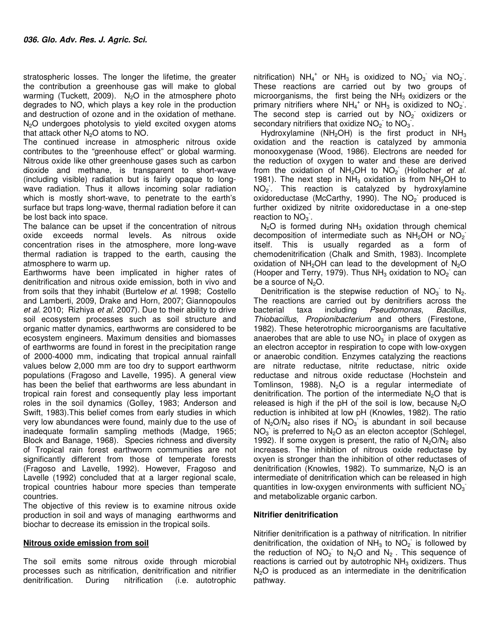stratospheric losses. The longer the lifetime, the greater the contribution a greenhouse gas will make to global warming (Tuckett, 2009).  $N<sub>2</sub>O$  in the atmosphere photo degrades to NO, which plays a key role in the production and destruction of ozone and in the oxidation of methane.  $N<sub>2</sub>O$  undergoes photolysis to yield excited oxygen atoms that attack other  $N_2O$  atoms to NO.

The continued increase in atmospheric nitrous oxide contributes to the "greenhouse effect" or global warming. Nitrous oxide like other greenhouse gases such as carbon dioxide and methane, is transparent to short-wave (including visible) radiation but is fairly opaque to longwave radiation. Thus it allows incoming solar radiation which is mostly short-wave, to penetrate to the earth's surface but traps long-wave, thermal radiation before it can be lost back into space.

The balance can be upset if the concentration of nitrous oxide exceeds normal levels. As nitrous oxide concentration rises in the atmosphere, more long-wave thermal radiation is trapped to the earth, causing the atmosphere to warm up.

Earthworms have been implicated in higher rates of denitrification and nitrous oxide emission, both in vivo and from soils that they inhabit (Burtelow *et al*. 1998; Costello and Lamberti, 2009, Drake and Horn, 2007; Giannopoulos *et al*. 2010; Rizhiya *et al*. 2007). Due to their ability to drive soil ecosystem processes such as soil structure and organic matter dynamics, earthworms are considered to be ecosystem engineers. Maximum densities and biomasses of earthworms are found in forest in the precipitation range of 2000-4000 mm, indicating that tropical annual rainfall values below 2,000 mm are too dry to support earthworm populations (Fragoso and Lavelle, 1995). A general view has been the belief that earthworms are less abundant in tropical rain forest and consequently play less important roles in the soil dynamics (Golley, 1983; Anderson and Swift, 1983).This belief comes from early studies in which very low abundances were found, mainly due to the use of inadequate formalin sampling methods (Madge, 1965; Block and Banage, 1968). Species richness and diversity of Tropical rain forest earthworm communities are not significantly different from those of temperate forests (Fragoso and Lavelle, 1992). However, Fragoso and Lavelle (1992) concluded that at a larger regional scale, tropical countries habour more species than temperate countries.

The objective of this review is to examine nitrous oxide production in soil and ways of managing earthworms and biochar to decrease its emission in the tropical soils.

#### **Nitrous oxide emission from soil**

The soil emits some nitrous oxide through microbial processes such as nitrification, denitrification and nitrifier During nitrification (i.e. autotrophic

nitrification)  $NH_4^+$  or  $NH_3$  is oxidized to  $NO_3^-$  via  $NO_2^-$ . These reactions are carried out by two groups of microorganisms, the first being the  $NH<sub>3</sub>$  oxidizers or the primary nitrifiers where  $NH_4$ <sup>+</sup> or NH<sub>3</sub> is oxidized to NO<sub>2</sub>. The second step is carried out by  $NO<sub>2</sub>$  oxidizers or secondary nitrifiers that oxidize  $NO<sub>2</sub>$  to  $NO<sub>3</sub>$ .

Hydroxylamine (NH<sub>2</sub>OH) is the first product in NH<sub>3</sub> oxidation and the reaction is catalyzed by ammonia monooxygenase (Wood, 1986). Electrons are needed for the reduction of oxygen to water and these are derived from the oxidation of NH<sub>2</sub>OH to NO<sub>2</sub> (Hollocher *et al.* 1981). The next step in  $NH<sub>3</sub>$  oxidation is from  $NH<sub>2</sub>OH$  to  $NO<sub>2</sub>$ . This reaction is catalyzed by hydroxylamine oxidoreductase (McCarthy, 1990). The NO<sub>2</sub> produced is further oxidized by nitrite oxidoreductase in a one-step reaction to  $NO_3$ .

 $N_2O$  is formed during  $NH_3$  oxidation through chemical decomposition of intermediate such as  $NH<sub>2</sub>OH$  or  $NO<sub>2</sub>$ itself. This is usually regarded as a form of chemodenitrification (Chalk and Smith, 1983). Incomplete oxidation of  $NH<sub>2</sub>OH$  can lead to the development of  $N<sub>2</sub>O$ (Hooper and Terry, 1979). Thus NH<sub>3</sub> oxidation to  $NO<sub>2</sub>$  can be a source of  $N<sub>2</sub>O$ .

Denitrification is the stepwise reduction of  $NO<sub>3</sub>$  to  $N<sub>2</sub>$ . The reactions are carried out by denitrifiers across the bacterial taxa including *Pseudomonas*, *Bacillus*, *Thiobacillus*, *Propionibacterium* and others (Firestone, 1982). These heterotrophic microorganisms are facultative anaerobes that are able to use  $NO_3$  in place of oxygen as an electron acceptor in respiration to cope with low-oxygen or anaerobic condition. Enzymes catalyzing the reactions are nitrate reductase, nitrite reductase, nitric oxide reductase and nitrous oxide reductase (Hochstein and Tomlinson, 1988). N<sub>2</sub>O is a regular intermediate of denitrification. The portion of the intermediate  $N_2O$  that is released is high if the pH of the soil is low, because  $N<sub>2</sub>O$ reduction is inhibited at low pH (Knowles, 1982). The ratio of  $N_2O/N_2$  also rises if  $NO_3$  is abundant in soil because  $NO<sub>3</sub>$  is preferred to  $N<sub>2</sub>O$  as an electon acceptor (Schlegel, 1992). If some oxygen is present, the ratio of  $N_2O/N_2$  also increases. The inhibition of nitrous oxide reductase by oxyen is stronger than the inhibition of other reductases of denitrification (Knowles, 1982). To summarize,  $N_2O$  is an intermediate of denitrification which can be released in high quantities in low-oxygen environments with sufficient  $NO_3$ and metabolizable organic carbon.

#### **Nitrifier denitrification**

Nitrifier denitrification is a pathway of nitrification. In nitrifier denitrification, the oxidation of  $NH<sub>3</sub>$  to  $NO<sub>2</sub>$  is followed by the reduction of  $NO<sub>2</sub>$  to  $N<sub>2</sub>O$  and  $N<sub>2</sub>$ . This sequence of reactions is carried out by autotrophic  $NH<sub>3</sub>$  oxidizers. Thus  $N<sub>2</sub>O$  is produced as an intermediate in the denitrification pathway.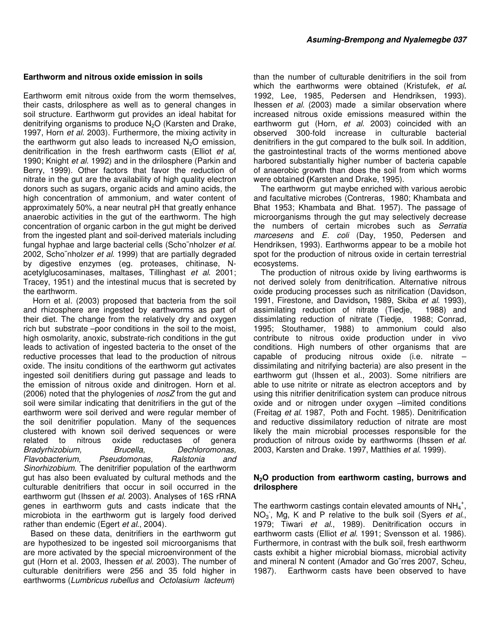#### **Earthworm and nitrous oxide emission in soils**

Earthworm emit nitrous oxide from the worm themselves, their casts, drilosphere as well as to general changes in soil structure. Earthworm gut provides an ideal habitat for denitrifying organisms to produce  $N<sub>2</sub>O$  (Karsten and Drake, 1997, Horn *et al*. 2003). Furthermore, the mixing activity in the earthworm gut also leads to increased  $N_2O$  emission, denitrification in the fresh earthworm casts (Elliot *et al*, 1990; Knight *et al*. 1992) and in the drilosphere (Parkin and Berry, 1999). Other factors that favor the reduction of nitrate in the gut are the availability of high quality electron donors such as sugars, organic acids and amino acids, the high concentration of ammonium, and water content of approximately 50%, a near neutral pH that greatly enhance anaerobic activities in the gut of the earthworm. The high concentration of organic carbon in the gut might be derived from the ingested plant and soil-derived materials including fungal hyphae and large bacterial cells (Scho¨nholzer *et al*. 2002, Scho¨nholzer *et al.* 1999) that are partially degraded by digestive enzymes (eg. proteases, chitinase, Nacetylglucosaminases, maltases, Tillinghast *et al*. 2001; Tracey, 1951) and the intestinal mucus that is secreted by the earthworm.

 Horn et al. (2003) proposed that bacteria from the soil and rhizosphere are ingested by earthworms as part of their diet. The change from the relatively dry and oxygen rich but substrate –poor conditions in the soil to the moist, high osmolarity, anoxic, substrate-rich conditions in the gut leads to activation of ingested bacteria to the onset of the reductive processes that lead to the production of nitrous oxide. The insitu conditions of the earthworm gut activates ingested soil denitifiers during gut passage and leads to the emission of nitrous oxide and dinitrogen. Horn et al. (2006) noted that the phylogenies of *nosZ* from the gut and soil were similar indicating that denitrifiers in the gut of the earthworm were soil derived and were regular member of the soil denitrifier population. Many of the sequences clustered with known soil derived sequences or were related to nitrous oxide reductases of genera<br>Bradyrhizobium. Brucella. Dechloromonas. *Bradyrhizobium, Flavobacterium, Pseudomonas, Ralstonia and Sinorhizobium*. The denitrifier population of the earthworm gut has also been evaluated by cultural methods and the culturable denitrifiers that occur in soil occurred in the earthworm gut (Ihssen *et al*. 2003). Analyses of 16S rRNA genes in earthworm guts and casts indicate that the microbiota in the earthworm gut is largely food derived rather than endemic (Egert *et al*., 2004).

Based on these data, denitrifiers in the earthworm gut are hypothesized to be ingested soil microorganisms that are more activated by the special microenvironment of the gut (Horn et al. 2003, Ihessen *et al*. 2003). The number of culturable denitrifiers were 256 and 35 fold higher in earthworms (*Lumbricus rubellus* and *Octolasium lacteum*)

than the number of culturable denitrifiers in the soil from which the earthworms were obtained (Kristufek, *et al***.**  1992, Lee, 1985, Pedersen and Hendriksen, 1993). Ihessen *et al*. (2003) made a similar observation where increased nitrous oxide emissions measured within the earthworm gut (Horn, *et al*. 2003) coincided with an observed 300-fold increase in culturable bacterial denitrifiers in the gut compared to the bulk soil. In addition, the gastrointestinal tracts of the worms mentioned above harbored substantially higher number of bacteria capable of anaerobic growth than does the soil from which worms were obtained **(**Karsten and Drake, 1995).

The earthworm gut maybe enriched with various aerobic and facultative microbes (Contreras,1980; Khambata and Bhat 1953; Khambata and Bhat. 1957). The passage of microorganisms through the gut may selectively decrease the numbers of certain microbes such as *Serratia marcesens* and *E. coli* (Day, 1950, Pedersen and Hendriksen, 1993). Earthworms appear to be a mobile hot spot for the production of nitrous oxide in certain terrestrial ecosystems.

The production of nitrous oxide by living earthworms is not derived solely from denitrification. Alternative nitrous oxide producing processes such as nitrification (Davidson, 1991, Firestone, and Davidson**,** 1989, Skiba *et al*. 1993), assimilating reduction of nitrate (Tiedje,1988) and dissimlating reduction of nitrate (Tiedje,1988; Conrad, 1995; Stouthamer, 1988) to ammonium could also contribute to nitrous oxide production under in vivo conditions. High numbers of other organisms that are capable of producing nitrous oxide (i.e. nitrate  $$ dissimilating and nitrifying bacteria) are also present in the earthworm gut (Ihssen et al., 2003). Some nitrifiers are able to use nitrite or nitrate as electron acceptors and by using this nitrifier denitrification system can produce nitrous oxide and or nitrogen under oxygen –limited conditions (Freitag *et al*. 1987, Poth and Focht. 1985). Denitrification and reductive dissimilatory reduction of nitrate are most likely the main microbial processes responsible for the production of nitrous oxide by earthworms (Ihssen *et al*. 2003, Karsten and Drake. 1997, Matthies *et al*. 1999).

#### **N2O production from earthworm casting, burrows and drilosphere**

The earthworm castings contain elevated amounts of  $NH_4^+$ , NO<sup>3</sup> - , Mg, K and P relative to the bulk soil (Syers *et al*., 1979; Tiwari *et al*., 1989). Denitrification occurs in earthworm casts (Elliot *et al*. 1991; Svensson et al. 1986). Furthermore, in contrast with the bulk soil, fresh earthworm casts exhibit a higher microbial biomass, microbial activity and mineral N content (Amador and Go¨rres 2007, Scheu, 1987).Earthworm casts have been observed to have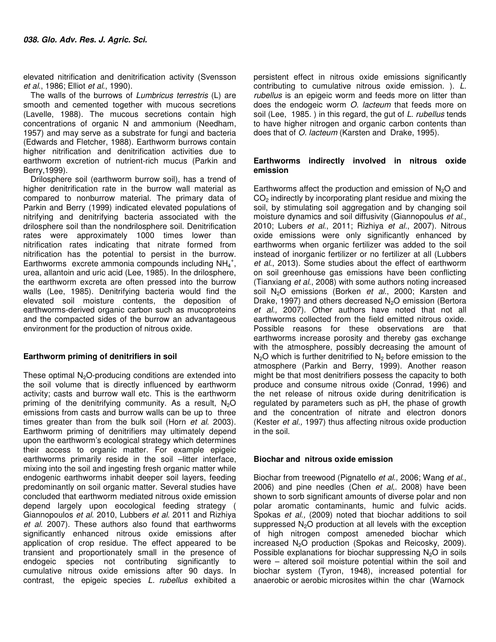elevated nitrification and denitrification activity (Svensson *et al*., 1986; Elliot *et al*., 1990).

The walls of the burrows of *Lumbricus terrestris* (L) are smooth and cemented together with mucous secretions (Lavelle, 1988). The mucous secretions contain high concentrations of organic N and ammonium (Needham, 1957) and may serve as a substrate for fungi and bacteria (Edwards and Fletcher, 1988). Earthworm burrows contain higher nitrification and denitrification activities due to earthworm excretion of nutrient-rich mucus (Parkin and Berry,1999).

Drilosphere soil (earthworm burrow soil), has a trend of higher denitrification rate in the burrow wall material as compared to nonburrow material. The primary data of Parkin and Berry (1999) indicated elevated populations of nitrifying and denitrifying bacteria associated with the drilosphere soil than the nondrilosphere soil. Denitrification rates were approximately 1000 times lower than nitrification rates indicating that nitrate formed from nitrification has the potential to persist in the burrow. Earthworms excrete ammonia compounds including  $NH_4^+$ , urea, allantoin and uric acid (Lee, 1985). In the drilosphere, the earthworm excreta are often pressed into the burrow walls (Lee, 1985). Denitrifying bacteria would find the elevated soil moisture contents, the deposition of earthworms-derived organic carbon such as mucoproteins and the compacted sides of the burrow an advantageous environment for the production of nitrous oxide.

#### **Earthworm priming of denitrifiers in soil**

These optimal  $N<sub>2</sub>O$ -producing conditions are extended into the soil volume that is directly influenced by earthworm activity; casts and burrow wall etc. This is the earthworm priming of the denitrifying community. As a result,  $N<sub>2</sub>O$ emissions from casts and burrow walls can be up to three times greater than from the bulk soil (Horn *et al*. 2003). Earthworm priming of denitrifiers may ultimately depend upon the earthworm's ecological strategy which determines their access to organic matter. For example epigeic earthworms primarily reside in the soil –litter interface, mixing into the soil and ingesting fresh organic matter while endogenic earthworms inhabit deeper soil layers, feeding predominantly on soil organic matter. Several studies have concluded that earthworm mediated nitrous oxide emission depend largely upon eocological feeding strategy ( Giannopoulos *et al*. 2010, Lubbers *et al*. 2011 and Rizhiya *et al*. 2007). These authors also found that earthworms significantly enhanced nitrous oxide emissions after application of crop residue. The effect appeared to be transient and proportionately small in the presence of endogeic species not contributing significantly to cumulative nitrous oxide emissions after 90 days. In contrast, the epigeic species *L. rubellus* exhibited a

persistent effect in nitrous oxide emissions significantly contributing to cumulative nitrous oxide emission. ). *L. rubellus* is an epigeic worm and feeds more on litter than does the endogeic worm *O. lacteum* that feeds more on soil (Lee,1985. ) in this regard, the gut of *L*. *rubellus* tends to have higher nitrogen and organic carbon contents than does that of *O. lacteum* (Karsten and Drake, 1995).

#### **Earthworms indirectly involved in nitrous oxide emission**

Earthworms affect the production and emission of  $N<sub>2</sub>O$  and  $CO<sub>2</sub>$  indirectly by incorporating plant residue and mixing the soil, by stimulating soil aggregation and by changing soil moisture dynamics and soil diffusivity (Giannopoulus *et al*., 2010; Lubers *et al*., 2011; Rizhiya *et al*., 2007). Nitrous oxide emissions were only significantly enhanced by earthworms when organic fertilizer was added to the soil instead of inorganic fertilizer or no fertilizer at all (Lubbers *et al*., 2013). Some studies about the effect of earthworm on soil greenhouse gas emissions have been conflicting (Tianxiang *et al*., 2008) with some authors noting increased soil N<sub>2</sub>O emissions (Borken *et al.*, 2000; Karsten and Drake, 1997) and others decreased N<sub>2</sub>O emission (Bertora *et al.,* 2007). Other authors have noted that not all earthworms collected from the field emitted nitrous oxide. Possible reasons for these observations are that earthworms increase porosity and thereby gas exchange with the atmosphere, possibly decreasing the amount of  $N<sub>2</sub>O$  which is further denitrified to  $N<sub>2</sub>$  before emission to the atmosphere (Parkin and Berry, 1999). Another reason might be that most denitrifiers possess the capacity to both produce and consume nitrous oxide (Conrad, 1996) and the net release of nitrous oxide during denitrification is regulated by parameters such as pH, the phase of growth and the concentration of nitrate and electron donors (Kester *et al.,* 1997) thus affecting nitrous oxide production in the soil.

#### **Biochar and nitrous oxide emission**

Biochar from treewood (Pignatello *et al.,* 2006; Wang *et al*., 2006) and pine needles (Chen *et al*,. 2008) have been shown to sorb significant amounts of diverse polar and non polar aromatic contaminants, humic and fulvic acids. Spokas *et al.,* (2009) noted that biochar additions to soil suppressed  $N<sub>2</sub>O$  production at all levels with the exception of high nitrogen compost ameneded biochar which increased  $N<sub>2</sub>O$  production (Spokas and Reicosky, 2009). Possible explanations for biochar suppressing  $N_2O$  in soils were – altered soil moisture potential within the soil and biochar system (Tyron, 1948), increased potential for anaerobic or aerobic microsites within the char (Warnock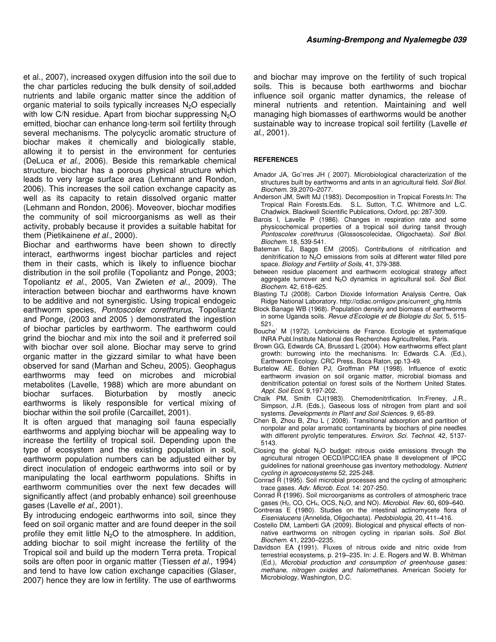et al., 2007), increased oxygen diffusion into the soil due to the char particles reducing the bulk density of soil,added nutrients and labile organic matter since the addition of organic material to soils typically increases N<sub>2</sub>O especially with low C/N residue. Apart from biochar suppressing  $N_2O$ emitted, biochar can enhance long-term soil fertility through several mechanisms. The polycyclic aromatic structure of biochar makes it chemically and biologically stable, allowing it to persist in the environment for centuries (DeLuca *et al.,* 2006). Beside this remarkable chemical structure, biochar has a porous physical structure which leads to very large surface area (Lehmann and Rondon, 2006). This increases the soil cation exchange capacity as well as its capacity to retain dissolved organic matter (Lehmann and Rondon, 2006). Moveover, biochar modifies the community of soil microorganisms as well as their activity, probably because it provides a suitable habitat for them (Pietikainene *et al.,* 2000).

Biochar and earthworms have been shown to directly interact, earthworms ingest biochar particles and reject them in their casts, which is likely to influence biochar distribution in the soil profile (Topoliantz and Ponge, 2003; Topoliantz *et al*., 2005, Van Zwieten *et al*., 2009). The interaction between biochar and earthworms have known to be additive and not synergistic. Using tropical endogeic earthworm species, *Pontoscolex corethrurus*, Topoliantz and Ponge, (2003 and 2005 ) demonstrated the ingestion of biochar particles by earthworm. The earthworm could grind the biochar and mix into the soil and it preferred soil with biochar over soil alone. Biochar may serve to grind organic matter in the gizzard similar to what have been observed for sand (Marhan and Scheu, 2005). Geophagus earthworms may feed on microbes and microbial metabolites (Lavelle, 1988) which are more abundant on biochar surfaces. Bioturbation by mostly anecic earthworms is likely responsible for vertical mixing of biochar within the soil profile (Carcaillet, 2001).

It is often argued that managing soil fauna especially earthworms and applying biochar will be appealing way to increase the fertility of tropical soil. Depending upon the type of ecosystem and the existing population in soil, earthworm population numbers can be adjusted either by direct inoculation of endogeic earthworms into soil or by manipulating the local earthworm populations. Shifts in earthworm communities over the next few decades will significantly affect (and probably enhance) soil greenhouse gases (Lavelle *et al.,* 2001).

By introducing endogeic earthworms into soil, since they feed on soil organic matter and are found deeper in the soil profile they emit little  $N_2O$  to the atmosphere. In addition, adding biochar to soil might increase the fertility of the Tropical soil and build up the modern Terra preta. Tropical soils are often poor in organic matter (Tiessen *et al*., 1994) and tend to have low cation exchange capacities (Glaser, 2007) hence they are low in fertility. The use of earthworms and biochar may improve on the fertility of such tropical soils. This is because both earthworms and biochar influence soil organic matter dynamics, the release of mineral nutrients and retention. Maintaining and well managing high biomasses of earthworms would be another sustainable way to increase tropical soil fertility (Lavelle *et al*., 2001).

#### **REFERENCES**

- Amador JA, Go¨rres JH ( 2007). Microbiological characterization of the structures built by earthworms and ants in an agricultural field. *Soil Biol. Biochem*. 39,2070–2077.
- Anderson JM, Swift MJ (1983). Decomposition in Tropical Forests.In: The Tropical Rain Forests.Eds. S.L. Sutton, T.C. Whitmore and L.C. Chadwick. Blackwell Scientific Publications, Oxford, pp: 287-309.
- Barois I, Lavelle P (1986). Changes in respiration rate and some physicochemical properties of a tropical soil during tansit through *Pontoscolex corethrurus* (Glossoscolecidae, Oligochaeta). *Soil Biol. Biochem*. 18, 539-541.
- Bateman EJ, Baggs EM (2005). Contributions of nitrification and denitrification to  $N_2O$  emissions from soils at different water filled pore space. *Biology and Fertility of Soils*, 41, 379-388.
- between residue placement and earthworm ecological strategy affect aggregate turnover and N2O dynamics in agricultural soil. *Soil Biol. Biochem.* 42, 618–625.
- Blasting TJ (2008). Carbon Dioxide Information Analysis Centre, Oak Ridge National Laboratory. http://cdiac.ornligov.pns/current\_ghg.htmls
- Block Banage WB (1968). Population density and biomass of earthworms in some Uganda soils. *Revue d'Ecologie et de Biologie du Sol*, 5, 515- 521.
- Bouche' M (1972). Lombriciens de France. Ecologie et systematique INRA Publ.Institute National des Recherches Agricultrelles, Paris.
- Brown GG, Edwards CA, Brussard L (2004). How earthworms effect plant growth: burrowing into the mechanisms. In: Edwards C.A. (Ed.), Earthworm Ecology. CRC Press, Boca Raton, pp.13-49.
- Burtelow AE, Bohlen PJ, Groffman PM (1998). Influence of exotic earthworm invasion on soil organic matter, microbial biomass and denitrification potential on forest soils of the Northern United States. *Appl. Soil Ecol*. 9,197-202.
- Chalk PM, Smith CJ(1983). Chemodenitrification. In:Freney, J.R., Simpson, J.R. (Eds.), Gaseous loss of nitrogen from plant and soil systems. *Developments in Plant and Soil Sciences*. 9, 65-89.
- Chen B, Zhou B, Zhu L ( 2008). Transitional adsorption and partition of nonpolar and polar aromatic contaminants by biochars of pine needles with different pyrolytic temperatures. *Environ. Sci. Technol*. 42, 5137- 5143.
- Closing the global  $N_2O$  budget: nitrous oxide emissions through the agricultural nitrogen OECD/IPCC/IEA phase II development of IPCC guidelines for national greenhouse gas inventory methodology. *Nutrient cycling in agroecosystems* 52, 225-248.
- Conrad R (1995). Soil microbial processes and the cycling of atmospheric trace gases. *Adv. Microb. Ecol*. 14: 207-250.
- Conrad R (1996). Soil microorganisms as controllers of atmospheric trace gases (H2, CO, CH4, OCS, N2O, and NO). *Microbiol. Rev*. 60**,** 609–640.
- Contreras E **(**1980). Studies on the intestinal actinomycete flora of *Eisenialucens* (Annelida, Oligochaeta). *Pedobiologia,* 20, 411–416.
- Costello DM, Lamberti GA (2009). Biological and physical effects of nonnative earthworms on nitrogen cycling in riparian soils. *Soil Biol. Biochem*. 41, 2230–2235.
- Davidson EA **(**1991). Fluxes of nitrous oxide and nitric oxide from terrestrial ecosystems, p. 219–235. In: J. E. Rogers and W. B. Whitman (Ed.), *Microbial production and consumption of greenhouse gases: methane, nitrogen oxides and halomethanes.* American Society for Microbiology, Washington, D.C.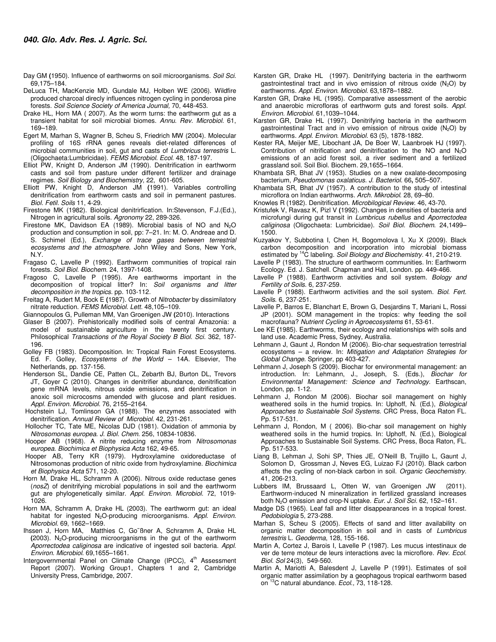- Day GM **(**1950). Influence of earthworms on soil microorganisms. *Soil Sci.* 69,175–184.
- DeLuca TH, MacKenzie MD, Gundale MJ, Holben WE (2006). Wildfire produced charcoal direcly influences nitrogen cycling in ponderosa pine forests. *Soil Science Society of America Journal,* 70, 448-453.
- Drake HL, Horn MA ( 2007). As the worm turns: the earthworm gut as a transient habitat for soil microbial biomes. *Annu. Rev. Microbiol*. 61, 169–189.
- Egert M, Marhan S, Wagner B, Scheu S, Friedrich MW (2004). Molecular profiling of 16S rRNA genes reveals diet-related differences of microbial communities in soil, gut and casts of *Lumbricus terrestris* L. (Oligochaeta:Lumbricidae). *FEMS Microbiol. Ecol*. 48, 187-197.
- Elliot PW, Knight D, Anderson JM (1990). Denitrification in earthworm casts and soil from pasture under different fertilizer and drainage regimes. *Soil Biology and Biochemistry*, 22, 601-605.
- Elliott PW, Knight D, Anderson JM **(**1991). Variables controlling denitrification from earthworm casts and soil in permanent pastures. *Biol. Fetil. Soils* 11, 4-29.
- Firestone MK (1982). Biological denitrirfication. In:Stevenson, F.J.(Ed.), Nitrogen in agricultural soils. *Agronomy* 22, 289-326.
- Firestone MK, Davidson EA (1989). Microbial basis of NO and  $N_2O$ production and consumption in soil, pp: 7–21. In: M. O. Andreae and D. S. Schimel (Ed.), *Exchange of trace gases between terrestrial ecosystems and the atmosphere*. John Wiley and Sons, New York, N.Y.
- Fragaso C, Lavelle P (1992). Earthworm communities of tropical rain forests. *Soil Biol. Biochem.* 24, 1397-1408.
- Fragoso C, Lavelle P (1995). Are earthworms important in the decomposition of tropical litter? In: *Soil organisms and litter decomposition in the tropics*. pp. 103-112.
- Freitag A, Rudert M, Bock E **(**1987). Growth of *Nitrobacter* by dissimilatory nitrate reduction. *FEMS Microbiol. Lett*. 48,105–109.
- Giannopoulos G, Pulleman MM, Van Groenigen JW **(**2010). Interactions
- Glaser B (2007). Prehistorically modified soils of central Amazonia: a model of sustainable agriculture in the twenty first century. Philosophical *Transactions of the Royal Society B Biol. Sci.* 362, 187- 196.
- Golley FB (1983). Decomposition. In: Tropical Rain Forest Ecosystems. Ed. F. Golley, *Ecosystems of the World* – 14A. Elsevier, The Netherlands, pp. 137-156.
- Henderson SL, Dandie CE, Patten CL, Zebarth BJ, Burton DL, Trevors JT, Goyer C (2010). Changes in denitrifier abundance, denitrification gene mRNA levels, nitrous oxide emissions, and denitrification in anoxic soil microcosms amended with glucose and plant residues. *Appl. Environ. Microbiol*. 76, 2155–2164.
- Hochstein LJ, Tomlinson GA (1988). The enzymes associated with denitrification. *Annual Review of Microbiol.* 42, 231-261.
- Hollocher TC, Tate ME, Nicolas DJD (1981). Oxidation of ammonia by *Nitrosomonas europea*. *J. Biol. Chem.* 256, 10834-10836.
- Hooper AB (1968). A nitrite reducing enzyme from *Nitrosomonas europea*. *Biochimica et Biophysica Acta* 162, 49-65.
- Hooper AB, Terry KR (1979). Hydroxylamine oxidoreductase of Nitrosomonas production of nitric oxide from hydroxylamine. *Biochimica et Biophysica Acta* 571, 12-20.
- Horn M, Drake HL, Schramm A (2006). Nitrous oxide reductase genes (*nosZ*) of denitrifying microbial populations in soil and the earthworm gut are phylogenetically similar. *Appl. Environ. Microbiol*. 72, 1019- 1026.
- Horn MA, Schramm A, Drake HL (2003). The earthworm gut: an ideal habitat for ingested N2O-producing microorganisms. *Appl. Environ. Microbiol.* 69, 1662–1669.
- Ihssen J, Horn MA, Matthies C, Go¨ßner A, Schramm A, Drake HL **(**2003). N2O-producing microorganisms in the gut of the earthworm *Aporrectodea caliginosa* are indicative of ingested soil bacteria. *Appl. Environ. Microbiol*. 69,1655–1661.
- Intergovernmental Panel on Climate Change (IPCC), 4<sup>th</sup> Assessment Report (2007). Working Group1, Chapters 1 and 2, Cambridge University Press, Cambridge, 2007.
- Karsten GR, Drake HL (1997). Denitrifying bacteria in the earthworm gastrointestinal tract and in vivo emission of nitrous oxide  $(N_2O)$  by earthworms. *Appl. Environ. Microbiol*. 63,1878–1882.
- Karsten GR, Drake HL (1995). Comparative assessment of the aerobic and anaerobic microfloras of earthworm guts and forest soils. *Appl. Environ. Microbiol*. 61,1039–1044.
- Karsten GR, Drake HL (1997). Denitrifying bacteria in the earthworm gastrointestinal Tract and in vivo emission of nitrous oxide  $(N_2O)$  by earthworms. *Appl. Environ. Microbiol.* 63 (5), 1878-1882.
- Kester RA, Meijer ME, Libochant JA, De Boer W, Laanbroek HJ (1997). Contribution of nitrification and denitrification to the NO and  $N_2O$ emissions of an acid forest soil, a river sediment and a fertilized grassland soil. Soil Biol. Biochem. 29,1655–1664.
- Khambata SR, Bhat JV (1953). Studies on a new oxalate-decomposing bacterium, *Pseudomonas oxalaticus*. *J. Bacteriol*. 66**,** 505–507.
- Khambata SR, Bhat JV (1957). A contribution to the study of intestinal microflora on Indian earthworms. *Arch. Mikrobiol*. 28, 69–80.
- Knowles R (1982). Denitrification. *Microbilogical Review*. 46, 43-70.
- Kristufek V, Ravasz K, Pizl V **(**1992). Changes in densities of bacteria and microfungi during gut transit in *Lumbricus rubellus* and *Aporrectodea caliginosa* (Oligochaeta: Lumbricidae). *Soil Biol. Biochem*. 24,1499– 1500.
- Kuzyakov Y, Subbotina I, Chen H, Bogomolova I, Xu X (2009). Black carbon decomposition and incorporation into microbial biomass estimated by <sup>14</sup>C labeling. *Soil Biology and Biochemistry.* 41, 210-219.
- Lavelle P (1983). The structure of earthworm communities. In: Earthworm Ecology. Ed. J. Satchell. Chapman and Hall, London. pp. 449-466.
- Lavelle P (1988). Earthworm activities and soil system. *Bology and Fertility of Soils*. 6, 237-259.
- Lavelle P (1988). Earthworm activities and the soil system. *Biol. Fert. Soils*. 6, 237-251.
- Lavelle P, Barros E, Blanchart E, Brown G, Desjardins T, Mariani L, Rossi JP (2001). SOM management in the tropics: why feeding the soil macrofauna? *Nutrient Cycling in Agroecosystems* 61, 53-61.
- Lee KE **(**1985). Earthworms, their ecology and relationships with soils and land use. Academic Press, Sydney, Australia.
- Lehmann J, Gaunt J, Rondon M (2006). Bio-char sequestration terrestrial ecosystems – a review. In: *Mitigation and Adaptation Strategies for Global Change*. Springer, pp 403-427.
- Lehmann J, Joseph S (2009). Biochar for environmental management: an introduction. In: Lehmann, J., Joseph, S. (Eds.), *Biochar for Environmental Management: Science and Technology*. Earthscan, London, pp. 1-12.
- Lehmann J, Rondon M (2006). Biochar soil management on highly weathered soils in the humid tropics. In: Uphoff, N. (Ed.), *Biological Approaches to Sustainable Soil Systems*. CRC Press, Boca Raton FL. Pp. 517-531.
- Lehmann J, Rondon, M ( 2006). Bio-char soil management on highly weathered soils in the humid tropics. In: Uphoff, N. (Ed.), Biological Approaches to Sustainable Soil Systems. CRC Press, Boca Raton, FL. Pp. 517-533.
- Liang B, Lehman J, Sohi SP, Thies JE, O'Neill B, Trujillo L, Gaunt J, Solomon D, Grossman J, Neves EG, Luizao FJ (2010). Black carbon affects the cycling of non-black carbon in soil. *Organic Geochemistry*. 41, 206-213.
- Lubbers IM, Brussaard L, Otten W, van Groenigen JW (2011). Earthworm-induced N mineralization in fertilized grassland increases both N2O emission and crop-N uptake. *Eur. J. Soil Sci.* 62, 152–161.
- Madge DS (1965). Leaf fall and litter disappearances in a tropical forest. *Pedobiologia* 5, 273-288.
- Marhan S, Scheu S (2005). Effects of sand and litter availability on organic matter decomposition in soil and in casts of *Lumbricus terrestris* L. *Geoderma*, 128, 155-166.
- Martin A, Cortez J, Barois I, Lavelle P (1987). Les mucus intestinaux de ver de terre moteur de leurs interactions avec la microflore. *Rev. Ecol. Biol. Sol* 24(3), 549-560.
- Martin A, Mariotti A, Balesdent J, Lavelle P (1991). Estimates of soil organic matter assimilation by a geophagous tropical earthworm based on <sup>13</sup>C natural abundance. *Ecol.,* 73, 118-128.